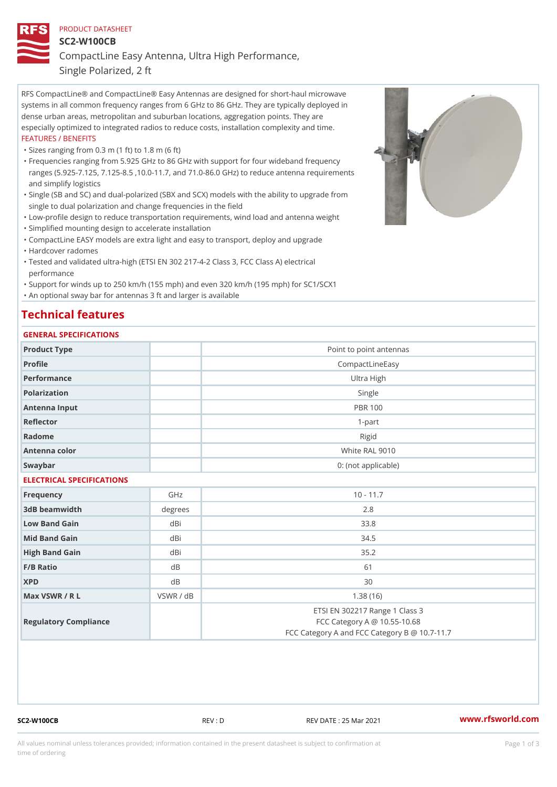### PRODUCT DATASHEET

SC2-W100CB

CompactLine Easy Antenna, Ultra High Performance,

Single Polarized, 2 ft

RFS CompactLine® and CompactLine® Easy Antennas are designed for short-haul microwave systems in all common frequency ranges from 6 GHz to 86 GHz. They are typically deployed in dense urban areas, metropolitan and suburban locations, aggregation points. They are especially optimized to integrated radios to reduce costs, installation complexity and time. FEATURES / BENEFITS

"Sizes ranging from 0.3 m (1 ft) to 1.8 m (6 ft)

- Frequencies ranging from 5.925 GHz to 86 GHz with support for four wideband frequency " ranges (5.925-7.125, 7.125-8.5 ,10.0-11.7, and 71.0-86.0 GHz) to reduce antenna requirements and simplify logistics
- Single (SB and SC) and dual-polarized (SBX and SCX) models with the ability to upgrade from " single to dual polarization and change frequencies in the field
- "Low-profile design to reduce transportation requirements, wind load and antenna weight
- "Simplified mounting design to accelerate installation

 "CompactLine EASY models are extra light and easy to transport, deploy and upgrade "Hardcover radomes

Tested and validated ultra-high (ETSI EN 302 217-4-2 Class 3, FCC Class A) electrical " performance

 "Support for winds up to 250 km/h (155 mph) and even 320 km/h (195 mph) for SC1/SCX1 "An optional sway bar for antennas 3 ft and larger is available

## Technical features

### GENERAL SPECIFICATIONS

| GENERAL SPECIFICATIONS    |           |                                                                                                                 |  |  |
|---------------------------|-----------|-----------------------------------------------------------------------------------------------------------------|--|--|
| Product Type              |           | Point to point antennas                                                                                         |  |  |
| Profile                   |           | CompactLineEasy                                                                                                 |  |  |
| Performance               |           | Ultra High                                                                                                      |  |  |
| Polarization              |           | Single                                                                                                          |  |  |
| Antenna Input             |           | <b>PBR 100</b>                                                                                                  |  |  |
| Reflector                 |           | $1 - p$ art                                                                                                     |  |  |
| Radome                    |           | Rigid                                                                                                           |  |  |
| Antenna color             |           | White RAL 9010                                                                                                  |  |  |
| Swaybar                   |           | 0: (not applicable)                                                                                             |  |  |
| ELECTRICAL SPECIFICATIONS |           |                                                                                                                 |  |  |
| Frequency                 | GHz       | $10 - 11.7$                                                                                                     |  |  |
| 3dB beamwidth             | degree    | 2.8                                                                                                             |  |  |
| Low Band Gain             | dBi       | 33.8                                                                                                            |  |  |
| Mid Band Gain             | dBi       | 34.5                                                                                                            |  |  |
| High Band Gain            | dBi       | 35.2                                                                                                            |  |  |
| $F/B$ Ratio               | d B       | 61                                                                                                              |  |  |
| <b>XPD</b>                | $d$ B     | 30                                                                                                              |  |  |
| Max VSWR / R L            | VSWR / dB | 1.38(16)                                                                                                        |  |  |
| Regulatory Compliance     |           | ETSI EN 302217 Range 1 Class 3<br>FCC Category A @ 10.55-10.68<br>FCC Category A and FCC Category B @ 10.7-11.7 |  |  |

SC2-W100CB REV : D REV DATE : 25 Mar 2021 [www.](https://www.rfsworld.com)rfsworld.com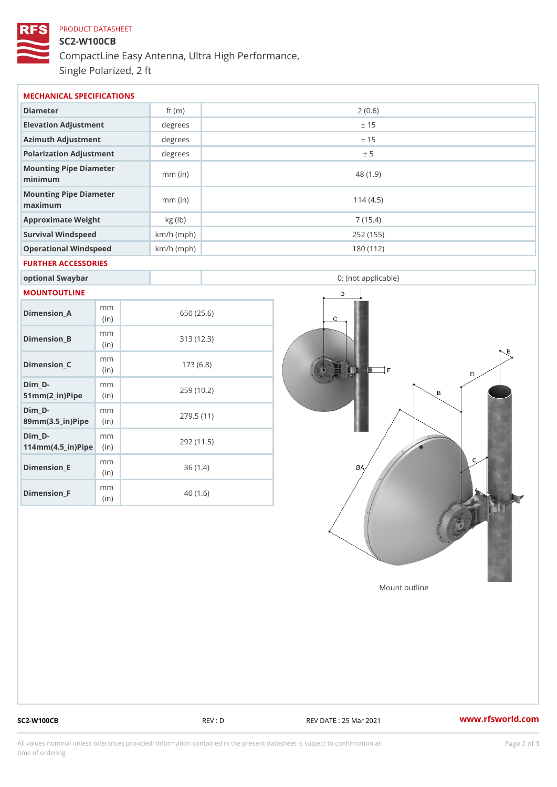# PRODUCT DATASHEET SC2-W100CB CompactLine Easy Antenna, Ultra High Performance, Single Polarized, 2 ft

| MECHANICAL SPECIFICATIONS         |              |                     |  |  |  |
|-----------------------------------|--------------|---------------------|--|--|--|
| Diameter                          | ft $(m)$     | 2(0.6)              |  |  |  |
| Elevation Adjustment              | $degree$ :   | ± 15                |  |  |  |
| Azimuth Adjustment                | degrees      | ± 15                |  |  |  |
| Polarization Adjustment           | degree       | ± 5                 |  |  |  |
| Mounting Pipe Diameter<br>minimum | $mm$ (in)    | 48(1.9)             |  |  |  |
| Mounting Pipe Diameter<br>maximum | $mm$ (in)    | 114(4.5)            |  |  |  |
| Approximate Weight                | kg(lb)       | 7(15.4)             |  |  |  |
| Survival Windspeed                | $km/h$ (mph) | 252 (155)           |  |  |  |
| Operational Windspeed             | $km/h$ (mph) | 180 (112)           |  |  |  |
| FURTHER ACCESSORIES               |              |                     |  |  |  |
| optional Swaybar                  |              | 0: (not applicable) |  |  |  |

### MOUNTOUTLINE

| Dimension_A                                                  | m m<br>(in) | 650 (25.6) |
|--------------------------------------------------------------|-------------|------------|
| Dimension B                                                  | m m<br>(in) | 313(12.3)  |
| Dimension_C                                                  | m m<br>(in) | 173(6.8)   |
| Dim D-<br>$51mm(2_in) Pipéin$                                | m m         | 259 (10.2) |
| Dim D-<br>$89m m (3.5 \dots n)$ P i(pine                     | m m         | 279.5(11)  |
| Dim D-<br>$114$ m m (4.5 _ i r) $\mathbb{R}$ in $\mathbb{R}$ | m m         | 292 (11.5) |
| Dimension_E                                                  | m m<br>(in) | 36(1.4)    |
| Dimension <sub>_F</sub>                                      | m m<br>(in) | 40 (1.6)   |

Mount outline

SC2-W100CB REV : D REV DATE : 25 Mar 2021 [www.](https://www.rfsworld.com)rfsworld.com